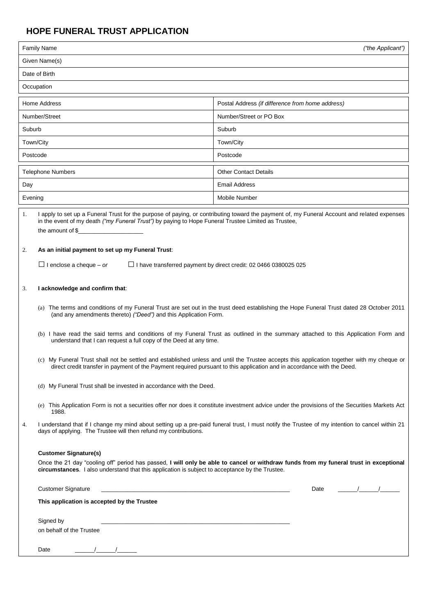## **HOPE FUNERAL TRUST APPLICATION**

| <b>Family Name</b>       |                                                                                                                                                                                                                                                                                                                                                                                                                                                                                                                                                                                                                                                                                                   | ("the Applicant")                                |
|--------------------------|---------------------------------------------------------------------------------------------------------------------------------------------------------------------------------------------------------------------------------------------------------------------------------------------------------------------------------------------------------------------------------------------------------------------------------------------------------------------------------------------------------------------------------------------------------------------------------------------------------------------------------------------------------------------------------------------------|--------------------------------------------------|
| Given Name(s)            |                                                                                                                                                                                                                                                                                                                                                                                                                                                                                                                                                                                                                                                                                                   |                                                  |
| Date of Birth            |                                                                                                                                                                                                                                                                                                                                                                                                                                                                                                                                                                                                                                                                                                   |                                                  |
| Occupation               |                                                                                                                                                                                                                                                                                                                                                                                                                                                                                                                                                                                                                                                                                                   |                                                  |
| Home Address             |                                                                                                                                                                                                                                                                                                                                                                                                                                                                                                                                                                                                                                                                                                   | Postal Address (if difference from home address) |
| Number/Street            |                                                                                                                                                                                                                                                                                                                                                                                                                                                                                                                                                                                                                                                                                                   | Number/Street or PO Box                          |
| Suburb                   |                                                                                                                                                                                                                                                                                                                                                                                                                                                                                                                                                                                                                                                                                                   | Suburb                                           |
| Town/City                |                                                                                                                                                                                                                                                                                                                                                                                                                                                                                                                                                                                                                                                                                                   | Town/City                                        |
| Postcode                 |                                                                                                                                                                                                                                                                                                                                                                                                                                                                                                                                                                                                                                                                                                   | Postcode                                         |
| <b>Telephone Numbers</b> |                                                                                                                                                                                                                                                                                                                                                                                                                                                                                                                                                                                                                                                                                                   | <b>Other Contact Details</b>                     |
| Day                      |                                                                                                                                                                                                                                                                                                                                                                                                                                                                                                                                                                                                                                                                                                   | <b>Email Address</b>                             |
| Evening                  |                                                                                                                                                                                                                                                                                                                                                                                                                                                                                                                                                                                                                                                                                                   | Mobile Number                                    |
| 1.                       | I apply to set up a Funeral Trust for the purpose of paying, or contributing toward the payment of, my Funeral Account and related expenses<br>in the event of my death ("my Funeral Trust") by paying to Hope Funeral Trustee Limited as Trustee,<br>the amount of \$_                                                                                                                                                                                                                                                                                                                                                                                                                           |                                                  |
| 2.                       | As an initial payment to set up my Funeral Trust:<br>$\Box$ I enclose a cheque – or<br>$\Box$ I have transferred payment by direct credit: 02 0466 0380025 025                                                                                                                                                                                                                                                                                                                                                                                                                                                                                                                                    |                                                  |
|                          |                                                                                                                                                                                                                                                                                                                                                                                                                                                                                                                                                                                                                                                                                                   |                                                  |
| 3.                       | I acknowledge and confirm that:                                                                                                                                                                                                                                                                                                                                                                                                                                                                                                                                                                                                                                                                   |                                                  |
|                          | (a) The terms and conditions of my Funeral Trust are set out in the trust deed establishing the Hope Funeral Trust dated 28 October 2011<br>(and any amendments thereto) ("Deed") and this Application Form.<br>(b) I have read the said terms and conditions of my Funeral Trust as outlined in the summary attached to this Application Form and<br>understand that I can request a full copy of the Deed at any time.<br>(c) My Funeral Trust shall not be settled and established unless and until the Trustee accepts this application together with my cheque or<br>direct credit transfer in payment of the Payment required pursuant to this application and in accordance with the Deed. |                                                  |
|                          |                                                                                                                                                                                                                                                                                                                                                                                                                                                                                                                                                                                                                                                                                                   |                                                  |
|                          |                                                                                                                                                                                                                                                                                                                                                                                                                                                                                                                                                                                                                                                                                                   |                                                  |
|                          | (d) My Funeral Trust shall be invested in accordance with the Deed.                                                                                                                                                                                                                                                                                                                                                                                                                                                                                                                                                                                                                               |                                                  |
|                          | (e) This Application Form is not a securities offer nor does it constitute investment advice under the provisions of the Securities Markets Act<br>1988.                                                                                                                                                                                                                                                                                                                                                                                                                                                                                                                                          |                                                  |
| 4.                       | I understand that if I change my mind about setting up a pre-paid funeral trust, I must notify the Trustee of my intention to cancel within 21<br>days of applying. The Trustee will then refund my contributions.                                                                                                                                                                                                                                                                                                                                                                                                                                                                                |                                                  |
|                          | <b>Customer Signature(s)</b><br>Once the 21 day "cooling off" period has passed, I will only be able to cancel or withdraw funds from my funeral trust in exceptional<br>circumstances. I also understand that this application is subject to acceptance by the Trustee.                                                                                                                                                                                                                                                                                                                                                                                                                          |                                                  |
|                          | <b>Customer Signature</b><br>the control of the control of the control of the control of the control of the control of                                                                                                                                                                                                                                                                                                                                                                                                                                                                                                                                                                            | $\frac{1}{\sqrt{2}}$<br>Date                     |
|                          | This application is accepted by the Trustee                                                                                                                                                                                                                                                                                                                                                                                                                                                                                                                                                                                                                                                       |                                                  |
|                          | Signed by<br>on behalf of the Trustee                                                                                                                                                                                                                                                                                                                                                                                                                                                                                                                                                                                                                                                             |                                                  |
|                          | Date                                                                                                                                                                                                                                                                                                                                                                                                                                                                                                                                                                                                                                                                                              |                                                  |